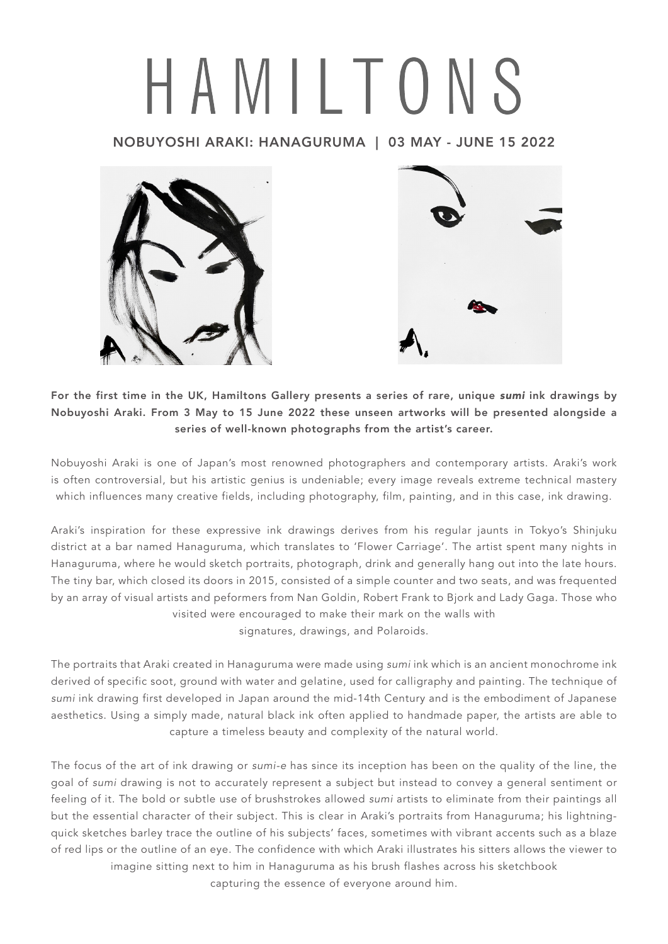## HAMILTONS

## NOBUYOSHI ARAKI: HANAGURUMA | 03 MAY - JUNE 15 2022





For the first time in the UK, Hamiltons Gallery presents a series of rare, unique *sumi* ink drawings by Nobuyoshi Araki. From 3 May to 15 June 2022 these unseen artworks will be presented alongside a series of well-known photographs from the artist's career.

Nobuyoshi Araki is one of Japan's most renowned photographers and contemporary artists. Araki's work is often controversial, but his artistic genius is undeniable; every image reveals extreme technical mastery which influences many creative fields, including photography, film, painting, and in this case, ink drawing.

Araki's inspiration for these expressive ink drawings derives from his regular jaunts in Tokyo's Shinjuku district at a bar named Hanaguruma, which translates to 'Flower Carriage'. The artist spent many nights in Hanaguruma, where he would sketch portraits, photograph, drink and generally hang out into the late hours. The tiny bar, which closed its doors in 2015, consisted of a simple counter and two seats, and was frequented by an array of visual artists and peformers from Nan Goldin, Robert Frank to Bjork and Lady Gaga. Those who visited were encouraged to make their mark on the walls with signatures, drawings, and Polaroids.

The portraits that Araki created in Hanaguruma were made using *sumi* ink which is an ancient monochrome ink derived of specific soot, ground with water and gelatine, used for calligraphy and painting. The technique of *sumi* ink drawing first developed in Japan around the mid-14th Century and is the embodiment of Japanese aesthetics. Using a simply made, natural black ink often applied to handmade paper, the artists are able to capture a timeless beauty and complexity of the natural world.

The focus of the art of ink drawing or *sumi-e* has since its inception has been on the quality of the line, the goal of *sumi* drawing is not to accurately represent a subject but instead to convey a general sentiment or feeling of it. The bold or subtle use of brushstrokes allowed *sumi* artists to eliminate from their paintings all but the essential character of their subject. This is clear in Araki's portraits from Hanaguruma; his lightningquick sketches barley trace the outline of his subjects' faces, sometimes with vibrant accents such as a blaze of red lips or the outline of an eye. The confidence with which Araki illustrates his sitters allows the viewer to imagine sitting next to him in Hanaguruma as his brush flashes across his sketchbook

capturing the essence of everyone around him.